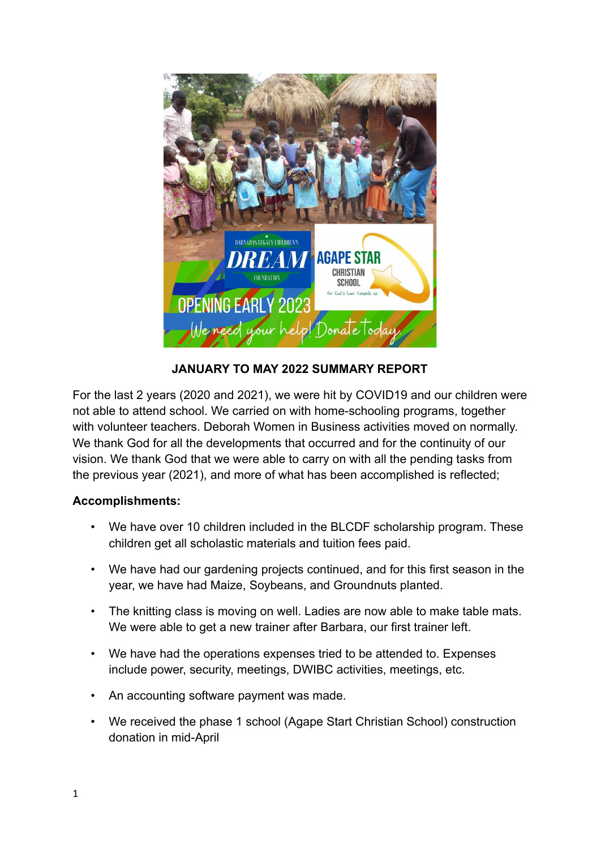

**JANUARY TO MAY 2022 SUMMARY REPORT**

For the last 2 years (2020 and 2021), we were hit by COVID19 and our children were not able to attend school. We carried on with home-schooling programs, together with volunteer teachers. Deborah Women in Business activities moved on normally. We thank God for all the developments that occurred and for the continuity of our vision. We thank God that we were able to carry on with all the pending tasks from the previous year (2021), and more of what has been accomplished is reflected;

## **Accomplishments:**

- We have over 10 children included in the BLCDF scholarship program. These children get all scholastic materials and tuition fees paid.
- We have had our gardening projects continued, and for this first season in the year, we have had Maize, Soybeans, and Groundnuts planted.
- The knitting class is moving on well. Ladies are now able to make table mats. We were able to get a new trainer after Barbara, our first trainer left.
- We have had the operations expenses tried to be attended to. Expenses include power, security, meetings, DWIBC activities, meetings, etc.
- An accounting software payment was made.
- We received the phase 1 school (Agape Start Christian School) construction donation in mid-April